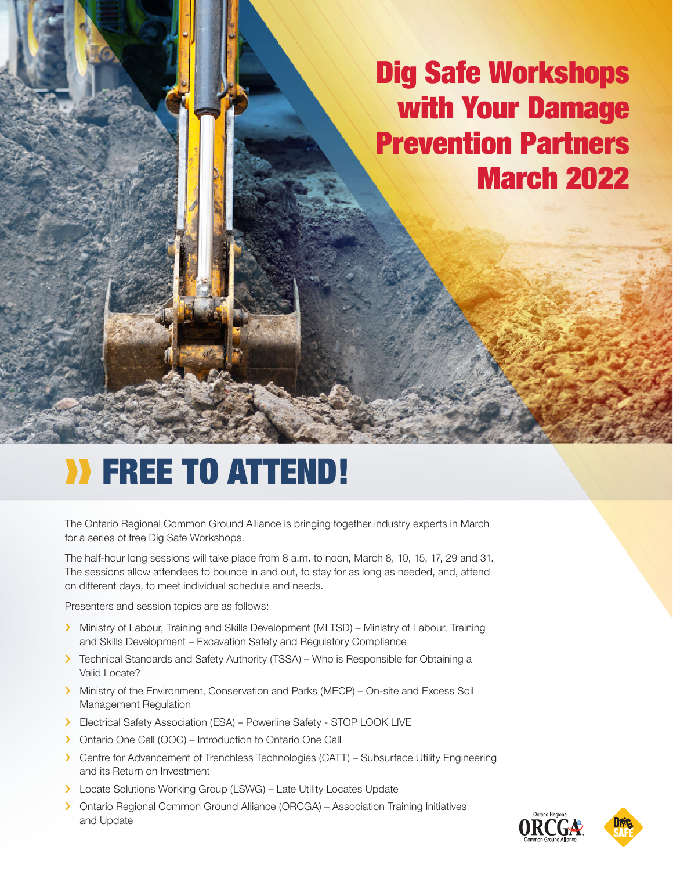### Dig Safe Workshops with Your Damage Prevention Partners March 2022

## ❱❱ Free to attend!

The Ontario Regional Common Ground Alliance is bringing together industry experts in March for a series of free Dig Safe Workshops.

The half-hour long sessions will take place from 8 a.m. to noon, March 8, 10, 15, 17, 29 and 31. The sessions allow attendees to bounce in and out, to stay for as long as needed, and, attend on different days, to meet individual schedule and needs.

Presenters and session topics are as follows:

- > Ministry of Labour, Training and Skills Development (MLTSD) Ministry of Labour, Training and Skills Development – Excavation Safety and Regulatory Compliance
- › Technical Standards and Safety Authority (TSSA) Who is Responsible for Obtaining a Valid Locate?
- › Ministry of the Environment, Conservation and Parks (MECP) On-site and Excess Soil Management Regulation
- › Electrical Safety Association (ESA) Powerline Safety STOP LOOK LIVE
- › Ontario One Call (OOC) Introduction to Ontario One Call
- › Centre for Advancement of Trenchless Technologies (CATT) Subsurface Utility Engineering and its Return on Investment
- > Locate Solutions Working Group (LSWG) Late Utility Locates Update
- › Ontario Regional Common Ground Alliance (ORCGA) Association Training Initiatives and Update



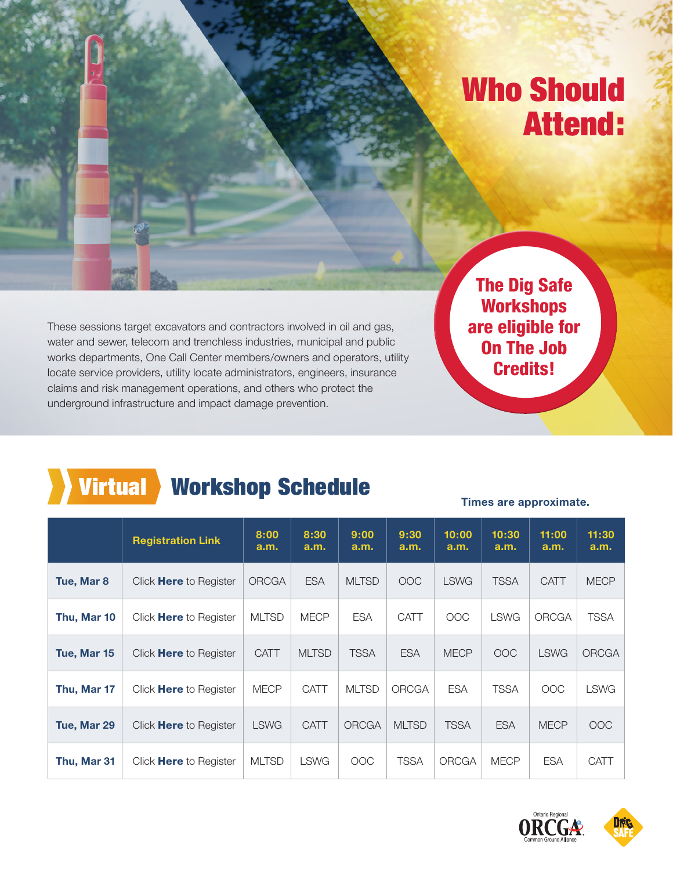### Who Should Attend:

These sessions target excavators and contractors involved in oil and gas, water and sewer, telecom and trenchless industries, municipal and public works departments, One Call Center members/owners and operators, utility locate service providers, utility locate administrators, engineers, insurance claims and risk management operations, and others who protect the underground infrastructure and impact damage prevention.

The Dig Safe **Workshops** are eligible for On The Job Credits!

### Virtual Workshop Schedule

### **Times are approximate.**

|             | <b>Registration Link</b>      | 8:00<br>a.m. | 8:30<br>a.m. | 9:00<br>a.m. | 9:30<br>a.m. | 10:00<br>a.m. | 10:30<br>a.m. | 11:00<br>a.m. | 11:30<br>a.m. |
|-------------|-------------------------------|--------------|--------------|--------------|--------------|---------------|---------------|---------------|---------------|
| Tue, Mar 8  | Click <b>Here</b> to Register | <b>ORCGA</b> | <b>ESA</b>   | <b>MLTSD</b> | <b>OOC</b>   | <b>LSWG</b>   | <b>TSSA</b>   | <b>CATT</b>   | <b>MECP</b>   |
| Thu, Mar 10 | Click <b>Here</b> to Register | <b>MLTSD</b> | <b>MECP</b>  | <b>ESA</b>   | <b>CATT</b>  | <b>OOC</b>    | <b>LSWG</b>   | <b>ORCGA</b>  | <b>TSSA</b>   |
| Tue, Mar 15 | Click <b>Here</b> to Register | <b>CATT</b>  | <b>MLTSD</b> | <b>TSSA</b>  | <b>ESA</b>   | <b>MECP</b>   | <b>OOC</b>    | <b>LSWG</b>   | <b>ORCGA</b>  |
| Thu, Mar 17 | Click Here to Register        | <b>MECP</b>  | <b>CATT</b>  | <b>MLTSD</b> | ORCGA        | <b>ESA</b>    | <b>TSSA</b>   | OOC           | <b>LSWG</b>   |
| Tue, Mar 29 | Click <b>Here</b> to Register | <b>LSWG</b>  | <b>CATT</b>  | <b>ORCGA</b> | <b>MLTSD</b> | <b>TSSA</b>   | <b>ESA</b>    | <b>MECP</b>   | <b>OOC</b>    |
| Thu, Mar 31 | Click <b>Here</b> to Register | <b>MLTSD</b> | <b>LSWG</b>  | <b>OOC</b>   | <b>TSSA</b>  | ORCGA         | <b>MECP</b>   | <b>ESA</b>    | CATT          |